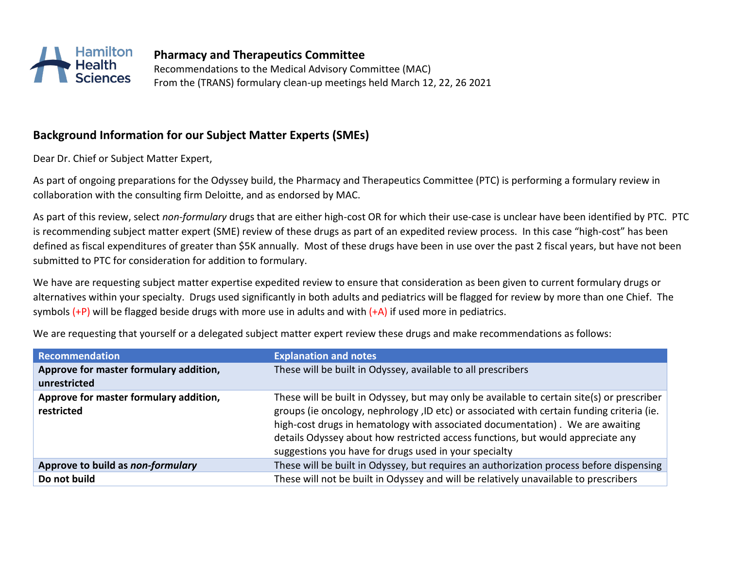

**Pharmacy and Therapeutics Committee**  Recommendations to the Medical Advisory Committee (MAC) From the (TRANS) formulary clean-up meetings held March 12, 22, 26 2021

## **Background Information for our Subject Matter Experts (SMEs)**

Dear Dr. Chief or Subject Matter Expert,

As part of ongoing preparations for the Odyssey build, the Pharmacy and Therapeutics Committee (PTC) is performing a formulary review in collaboration with the consulting firm Deloitte, and as endorsed by MAC.

As part of this review, select *non-formulary* drugs that are either high-cost OR for which their use-case is unclear have been identified by PTC. PTC is recommending subject matter expert (SME) review of these drugs as part of an expedited review process. In this case "high-cost" has been defined as fiscal expenditures of greater than \$5K annually. Most of these drugs have been in use over the past 2 fiscal years, but have not been submitted to PTC for consideration for addition to formulary.

We have are requesting subject matter expertise expedited review to ensure that consideration as been given to current formulary drugs or alternatives within your specialty. Drugs used significantly in both adults and pediatrics will be flagged for review by more than one Chief. The symbols  $(+P)$  will be flagged beside drugs with more use in adults and with  $(+A)$  if used more in pediatrics.

| Recommendation                                       | <b>Explanation and notes</b>                                                                                                                                                                                                                                                                                                                                                                                         |
|------------------------------------------------------|----------------------------------------------------------------------------------------------------------------------------------------------------------------------------------------------------------------------------------------------------------------------------------------------------------------------------------------------------------------------------------------------------------------------|
| Approve for master formulary addition,               | These will be built in Odyssey, available to all prescribers                                                                                                                                                                                                                                                                                                                                                         |
| unrestricted                                         |                                                                                                                                                                                                                                                                                                                                                                                                                      |
| Approve for master formulary addition,<br>restricted | These will be built in Odyssey, but may only be available to certain site(s) or prescriber<br>groups (ie oncology, nephrology, ID etc) or associated with certain funding criteria (ie.<br>high-cost drugs in hematology with associated documentation). We are awaiting<br>details Odyssey about how restricted access functions, but would appreciate any<br>suggestions you have for drugs used in your specialty |
| Approve to build as non-formulary                    | These will be built in Odyssey, but requires an authorization process before dispensing                                                                                                                                                                                                                                                                                                                              |
| Do not build                                         | These will not be built in Odyssey and will be relatively unavailable to prescribers                                                                                                                                                                                                                                                                                                                                 |

We are requesting that yourself or a delegated subject matter expert review these drugs and make recommendations as follows: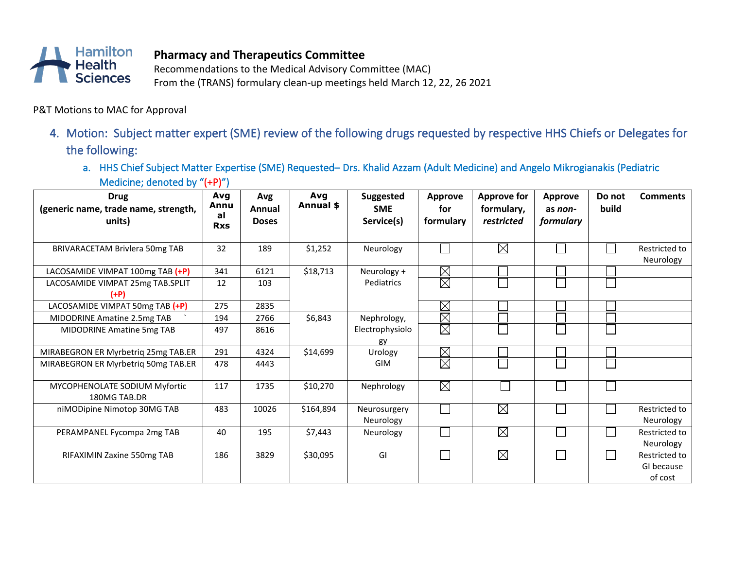

## **Pharmacy and Therapeutics Committee**

Recommendations to the Medical Advisory Committee (MAC)

From the (TRANS) formulary clean-up meetings held March 12, 22, 26 2021

P&T Motions to MAC for Approval

- 4. Motion: Subject matter expert (SME) review of the following drugs requested by respective HHS Chiefs or Delegates for the following:
	- a. HHS Chief Subject Matter Expertise (SME) Requested– Drs. Khalid Azzam (Adult Medicine) and Angelo Mikrogianakis (Pediatric Medicine; denoted by "(+P)")

| <b>Drug</b><br>(generic name, trade name, strength,<br>units) | Avg<br>Annu<br>al<br><b>Rxs</b> | Avg<br>Annual<br><b>Doses</b> | Avg<br>Annual \$ | <b>Suggested</b><br><b>SME</b><br>Service(s) | <b>Approve</b><br>for<br>formulary | <b>Approve for</b><br>formulary,<br>restricted | <b>Approve</b><br>as non-<br>formulary | Do not<br>build | <b>Comments</b>                        |
|---------------------------------------------------------------|---------------------------------|-------------------------------|------------------|----------------------------------------------|------------------------------------|------------------------------------------------|----------------------------------------|-----------------|----------------------------------------|
| <b>BRIVARACETAM Brivlera 50mg TAB</b>                         | 32                              | 189                           | \$1,252          | Neurology                                    |                                    | $\boxtimes$                                    |                                        |                 | Restricted to<br>Neurology             |
| LACOSAMIDE VIMPAT 100mg TAB (+P)                              | 341                             | 6121                          | \$18,713         | Neurology +                                  | $\boxtimes$                        |                                                |                                        |                 |                                        |
| LACOSAMIDE VIMPAT 25mg TAB.SPLIT<br>(+P)                      | 12                              | 103                           |                  | Pediatrics                                   | $\boxtimes$                        |                                                |                                        |                 |                                        |
| LACOSAMIDE VIMPAT 50mg TAB (+P)                               | 275                             | 2835                          |                  |                                              | $\boxtimes$                        |                                                |                                        |                 |                                        |
| MIDODRINE Amatine 2.5mg TAB                                   | 194                             | 2766                          | \$6,843          | Nephrology,                                  | $\boxtimes$                        |                                                |                                        |                 |                                        |
| MIDODRINE Amatine 5mg TAB                                     | 497                             | 8616                          |                  | Electrophysiolo<br>gy                        | $\boxtimes$                        |                                                |                                        |                 |                                        |
| MIRABEGRON ER Myrbetriq 25mg TAB.ER                           | 291                             | 4324                          | \$14,699         | Urology                                      | $\boxtimes$                        |                                                |                                        |                 |                                        |
| MIRABEGRON ER Myrbetrig 50mg TAB.ER                           | 478                             | 4443                          |                  | <b>GIM</b>                                   | $\boxtimes$                        |                                                |                                        |                 |                                        |
| MYCOPHENOLATE SODIUM Myfortic<br>180MG TAB.DR                 | 117                             | 1735                          | \$10,270         | Nephrology                                   | $\boxtimes$                        |                                                |                                        |                 |                                        |
| niMODipine Nimotop 30MG TAB                                   | 483                             | 10026                         | \$164,894        | Neurosurgery<br>Neurology                    |                                    | $\boxtimes$                                    |                                        |                 | Restricted to<br>Neurology             |
| PERAMPANEL Fycompa 2mg TAB                                    | 40                              | 195                           | \$7,443          | Neurology                                    |                                    | $\boxtimes$                                    |                                        |                 | Restricted to<br>Neurology             |
| RIFAXIMIN Zaxine 550mg TAB                                    | 186                             | 3829                          | \$30,095         | GI                                           |                                    | $\boxtimes$                                    |                                        |                 | Restricted to<br>GI because<br>of cost |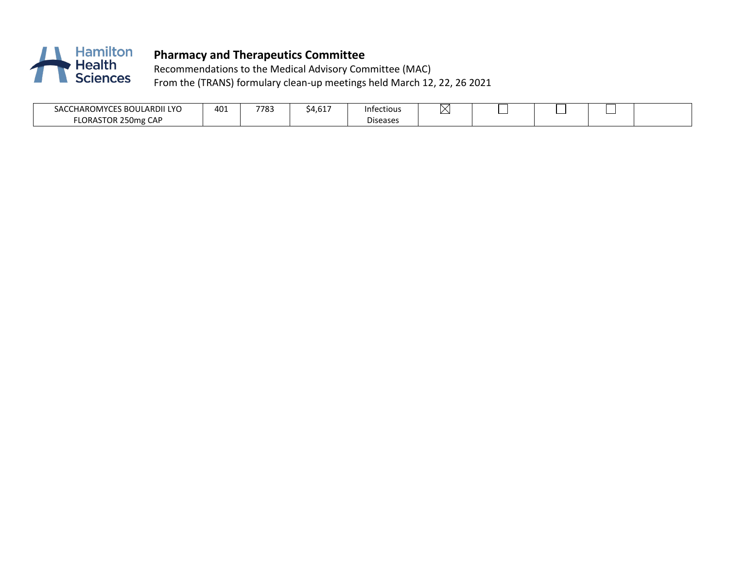

# **Pharmacy and Therapeutics Committee**

Recommendations to the Medical Advisory Committee (MAC) From the (TRANS) formulary clean-up meetings held March 12, 22, 26 2021

| LARDII LYO<br>SACCHAROMY<br>81 I I                   | د40 | 7783 | $-1$<br><u>дн</u><br>ு.∪ட | Infectious            | יי |  |  |
|------------------------------------------------------|-----|------|---------------------------|-----------------------|----|--|--|
| <b>CAP</b><br>LORAS <sup>.</sup><br>250me<br>1 U J F |     |      |                           | - -<br>eases<br>Disea |    |  |  |